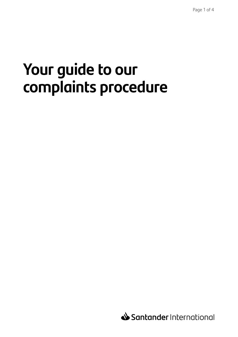# **Your guide to our complaints procedure**

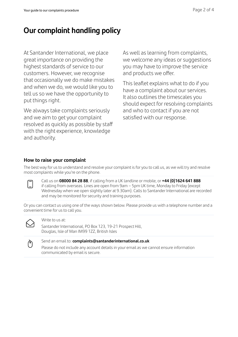# **Our complaint handling policy**

At Santander International, we place great importance on providing the highest standards of service to our customers. However, we recognise that occasionally we do make mistakes and when we do, we would like you to tell us so we have the opportunity to put things right.

We always take complaints seriously and we aim to get your complaint resolved as quickly as possible by staff with the right experience, knowledge and authority.

As well as learning from complaints, we welcome any ideas or suggestions you may have to improve the service and products we offer.

This leaflet explains what to do if you have a complaint about our services. It also outlines the timescales you should expect for resolving complaints and who to contact if you are not satisfied with our response.

## **How to raise your complaint**

The best way for us to understand and resolve your complaint is for you to call us, as we will try and resolve most complaints while you're on the phone.

Call us on **08000 84 28 88**, if calling from a UK landline or mobile, or **+44 (0)1624 641 888** if calling from overseas. Lines are open from 9am – 5pm UK time, Monday to Friday (except Wednesday when we open slightly later at 9.30am). Calls to Santander International are recorded and may be monitored for security and training purposes.

Or you can contact us using one of the ways shown below. Please provide us with a telephone number and a convenient time for us to call you.



#### Write to us at:

Santander International, PO Box 123, 19-21 Prospect Hill, Douglas, Isle of Man IM99 1ZZ, British Isles



#### Send an email to: **complaints@santanderinternational.co.uk**

Please do not include any account details in your email as we cannot ensure information communicated by email is secure.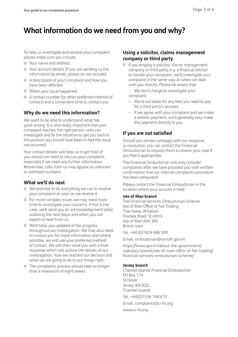# **What information do we need from you and why?**

To help us investigate and resolve your complaint, please make sure you include:

- { Your name and address.
- { Your account details (if you are sending us the information by email, please do not include).
- { A description of your complaint and how you have been affected.
- { When your issue happened.
- { A contact number (or other preferred method of contact) and a convenient time to contact you.

## **Why do we need this information?**

We want to be able to understand what has gone wrong. It is also really important that your complaint reaches the right person, who can investigate and fix the situation to get you back to the position you would have been in had the issue not occurred.

Your contact details will help us to get hold of you should we need to discuss your complaint, especially if we need any further information. Remember, calls from us may appear as unknown or withheld numbers.

### **What we'll do next**

- { We promise to do everything we can to resolve your complaint as soon as we receive it.
- { For more complex issues we may need more time to investigate your concerns. If this is the case, we'll send you an acknowledgement letter outlining the next steps and when you can expect to hear from us.
- { We'll keep you updated of the progress throughout our investigation. We may also need to contact you for more information and where possible, we will use your preferred method of contact. We will then issue you with a final response which will outline the details of our investigation, how we reached our decision and what we are going to do to put things right.
- { The complaints process should take no longer than a maximum of eight weeks.

### **Using a solicitor, claims management company or third party**

{ If you employ a solicitor, claims management company or third party, e.g. a financial advisor to handle your complaint, we'll investigate your complaint in the same way as when we deal with you directly. Please be aware that:

– We don't charge to investigate your complaint.

- We're not liable for any fees you need to pay for a third party's services.
- If we agree with your complaint and we make a redress payment, we'll generally only make this payment directly to you.

## **If you are not satisfied**

Should you remain unhappy with our response or resolution, you can contact the Financial Ombudsman to request them to review your case if you feel it appropriate.

The Financial Ombudsman will only consider complaints after we have provided you with written confirmation that our internal complaints procedure has been exhausted.

Please contact the Financial Ombudsman in the location where your account is held:

#### **Isle of Man branch**

The Financial Services Ombudsman Scheme Isle of Man Office of Fair Trading Thie Slieau Whallian Foxdale Road, St John's Isle of Man IM4 3AS British Isles

Tel: +44 (0)1624 686 500

Email: ombudsman@iomoft.gov.im

[https://www.gov.im/about-the-government/](https://www.gov.im/about-the-government/statutory-boards/isle-of-man-office-of-fair-trading/financial-services-ombudsman-scheme/) [statutory-boards/isle-of-man-office-of-fair-trading/](https://www.gov.im/about-the-government/statutory-boards/isle-of-man-office-of-fair-trading/financial-services-ombudsman-scheme/) [financial-services-ombudsman-scheme/](https://www.gov.im/about-the-government/statutory-boards/isle-of-man-office-of-fair-trading/financial-services-ombudsman-scheme/)

#### **Jersey branch**

Channel Islands Financial Ombudsman PO Box 114 St Helier Jersey JE4 9QG Channel Islands

Tel: +44(0)1534 748 610

Email: complaints@ci-fo.org

www.ci-fo.org